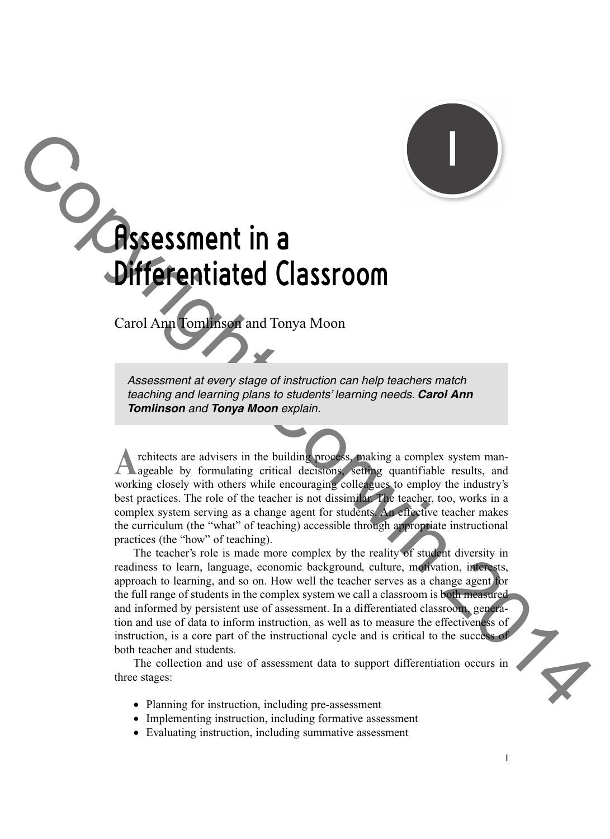

# **Assessment in a Differentiated Classroom**

Carol Ann Tomlinson and Tonya Moon

*Assessment at every stage of instruction can help teachers match teaching and learning plans to students' learning needs. Carol Ann Tomlinson and Tonya Moon explain.*

A rchitects are advisers in the building process, making a complex system man-<br>ageable by formulating critical decisions, setting quantifiable results, and working closely with others while encouraging colleagues to employ the industry's best practices. The role of the teacher is not dissimilar. The teacher, too, works in a complex system serving as a change agent for students. An effective teacher makes the curriculum (the "what" of teaching) accessible through appropriate instructional practices (the "how" of teaching).

**Constrained Classroom Care is a comparison of the constrained correlation**<br>
Carol Ann Complete of and Tonya Moon<br>
Assessment at each of the constrained and Corp and Corp and Corp and Corp and Corp and Corp and Corp and Co The teacher's role is made more complex by the reality of student diversity in readiness to learn, language, economic background, culture, motivation, interests, approach to learning, and so on. How well the teacher serves as a change agent for the full range of students in the complex system we call a classroom is both measured and informed by persistent use of assessment. In a differentiated classroom, generation and use of data to inform instruction, as well as to measure the effectiveness of instruction, is a core part of the instructional cycle and is critical to the success of both teacher and students.

 The collection and use of assessment data to support differentiation occurs in three stages:

- Planning for instruction, including pre-assessment
- Implementing instruction, including formative assessment
- Evaluating instruction, including summative assessment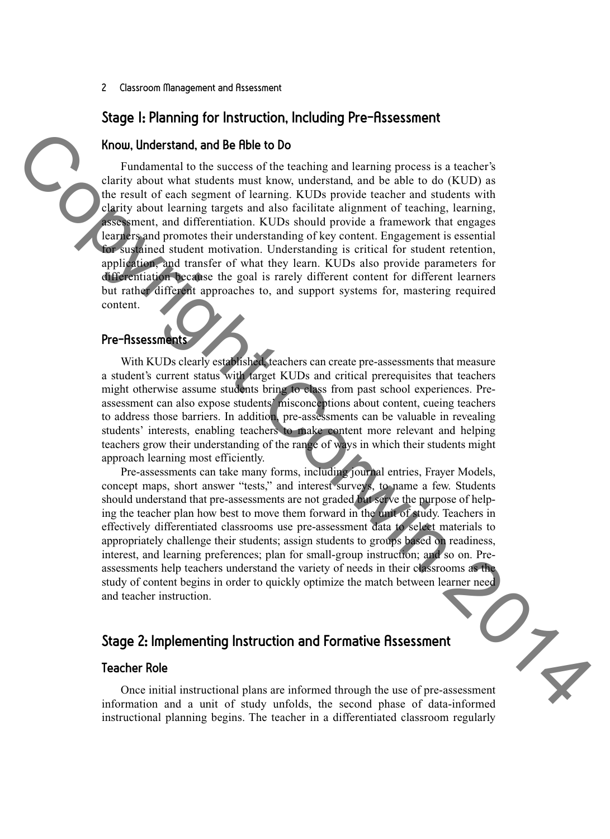2 Classroom Management and Assessment

## **Stage 1: Planning for Instruction, Including Pre-Assessment**

#### **Know, Understand, and Be Able to Do**

**Constrained**<br>
Experimental to the section and be note to do (KUD) as<br>
Franchise matrix to the section and be note to do (KUD) as<br>
not contributed user the section of contribution and be noted to do (KUD) as<br>
not contribut Fundamental to the success of the teaching and learning process is a teacher's clarity about what students must know, understand, and be able to do (KUD) as the result of each segment of learning. KUDs provide teacher and students with clarity about learning targets and also facilitate alignment of teaching, learning, assessment, and differentiation. KUDs should provide a framework that engages learners and promotes their understanding of key content. Engagement is essential for sustained student motivation. Understanding is critical for student retention, application, and transfer of what they learn. KUDs also provide parameters for differentiation because the goal is rarely different content for different learners but rather different approaches to, and support systems for, mastering required content.

#### **Pre-Assessments**

 With KUDs clearly established, teachers can create pre-assessments that measure a student's current status with target KUDs and critical prerequisites that teachers might otherwise assume students bring to class from past school experiences. Preassessment can also expose students' misconceptions about content, cueing teachers to address those barriers. In addition, pre-assessments can be valuable in revealing students' interests, enabling teachers to make content more relevant and helping teachers grow their understanding of the range of ways in which their students might approach learning most efficiently.

 Pre-assessments can take many forms, including journal entries, Frayer Models, concept maps, short answer "tests," and interest surveys, to name a few. Students should understand that pre-assessments are not graded but serve the purpose of helping the teacher plan how best to move them forward in the unit of study. Teachers in effectively differentiated classrooms use pre-assessment data to select materials to appropriately challenge their students; assign students to groups based on readiness, interest, and learning preferences; plan for small-group instruction; and so on. Preassessments help teachers understand the variety of needs in their classrooms as the study of content begins in order to quickly optimize the match between learner need and teacher instruction.

## **Stage 2: Implementing Instruction and Formative Assessment**

#### **Teacher Role**

 Once initial instructional plans are informed through the use of pre- assessment information and a unit of study unfolds, the second phase of data-informed instructional planning begins. The teacher in a differentiated classroom regularly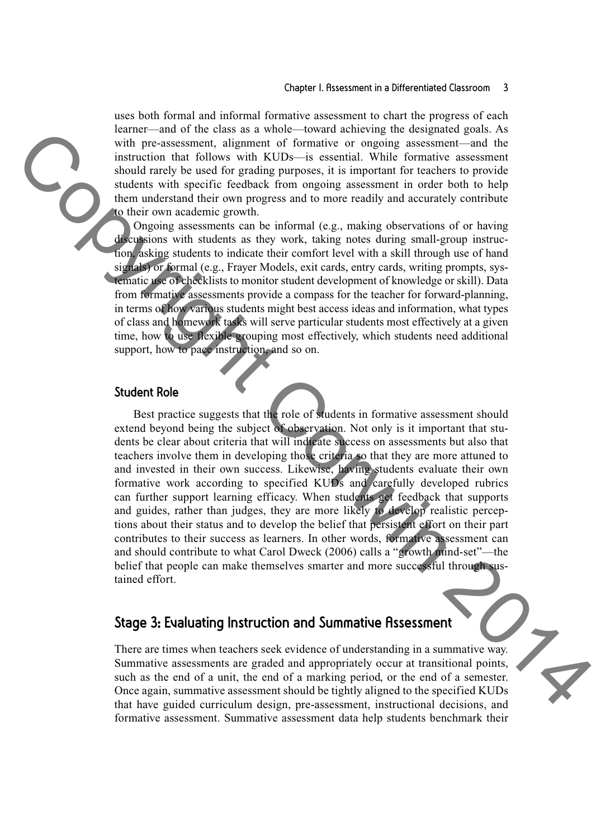uses both formal and informal formative assessment to chart the progress of each learner—and of the class as a whole—toward achieving the designated goals. As with pre-assessment, alignment of formative or ongoing assessment—and the instruction that follows with KUDs—is essential. While formative assessment should rarely be used for grading purposes, it is important for teachers to provide students with specific feedback from ongoing assessment in order both to help them understand their own progress and to more readily and accurately contribute to their own academic growth.

 Ongoing assessments can be informal (e.g., making observations of or having discussions with students as they work, taking notes during small-group instruction, asking students to indicate their comfort level with a skill through use of hand signals) or formal (e.g., Frayer Models, exit cards, entry cards, writing prompts, systematic use of checklists to monitor student development of knowledge or skill). Data from formative assessments provide a compass for the teacher for forward-planning, in terms of how various students might best access ideas and information, what types of class and homework tasks will serve particular students most effectively at a given time, how to use flexible grouping most effectively, which students need additional support, how to pace instruction, and so on.

#### **Student Role**

From the collective of the constraints of the constraints of the constraints of the constraints of the constraints of the constraints of the constraints of the constraints of the constraints of the constraints of the cons Best practice suggests that the role of students in formative assessment should extend beyond being the subject of observation. Not only is it important that students be clear about criteria that will indicate success on assessments but also that teachers involve them in developing those criteria so that they are more attuned to and invested in their own success. Likewise, having students evaluate their own formative work according to specified KUDs and carefully developed rubrics can further support learning efficacy. When students get feedback that supports and guides, rather than judges, they are more likely to develop realistic perceptions about their status and to develop the belief that persistent effort on their part contributes to their success as learners. In other words, formative assessment can and should contribute to what Carol Dweck (2006) calls a "growth mind-set"—the belief that people can make themselves smarter and more successful through sustained effort.

## **Stage 3: Evaluating Instruction and Summative Assessment**

 There are times when teachers seek evidence of understanding in a summative way. Summative assessments are graded and appropriately occur at transitional points, such as the end of a unit, the end of a marking period, or the end of a semester. Once again, summative assessment should be tightly aligned to the specified KUDs that have guided curriculum design, pre-assessment, instructional decisions, and formative assessment. Summative assessment data help students benchmark their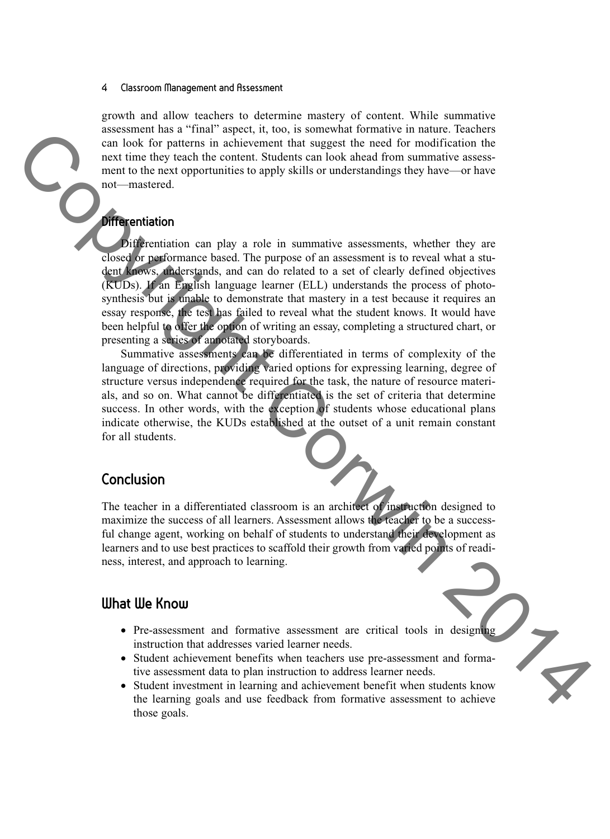#### 4 Classroom Management and Assessment

growth and allow teachers to determine mastery of content. While summative assessment has a "final" aspect, it, too, is somewhat formative in nature. Teachers can look for patterns in achievement that suggest the need for modification the next time they teach the content. Students can look ahead from summative assessment to the next opportunities to apply skills or understandings they have—or have not—mastered.

## **Differentiation**

conserved has a "inal inspect, it loo, is nonewall dominate in an<br>interest of the content inferinduced in the conserved of the correspondence of<br>metric Bay is easy of the correspondence of the correspondence of<br>the corres Differentiation can play a role in summative assessments, whether they are closed or performance based. The purpose of an assessment is to reveal what a student knows, understands, and can do related to a set of clearly defined objectives (KUDs). If an English language learner (ELL) understands the process of photosynthesis but is unable to demonstrate that mastery in a test because it requires an essay response, the test has failed to reveal what the student knows. It would have been helpful to offer the option of writing an essay, completing a structured chart, or presenting a series of annotated storyboards.

 Summative assessments can be differentiated in terms of complexity of the language of directions, providing varied options for expressing learning, degree of structure versus independence required for the task, the nature of resource materials, and so on. What cannot be differentiated is the set of criteria that determine success. In other words, with the exception of students whose educational plans indicate otherwise, the KUDs established at the outset of a unit remain constant for all students.

## **Conclusion**

 The teacher in a differentiated classroom is an architect of instruction designed to maximize the success of all learners. Assessment allows the teacher to be a successful change agent, working on behalf of students to understand their development as learners and to use best practices to scaffold their growth from varied points of readiness, interest, and approach to learning.

#### **What We Know**

- Pre-assessment and formative assessment are critical tools in designing instruction that addresses varied learner needs.
- Student achievement benefits when teachers use pre-assessment and formative assessment data to plan instruction to address learner needs.
- Student investment in learning and achievement benefit when students know the learning goals and use feedback from formative assessment to achieve those goals.